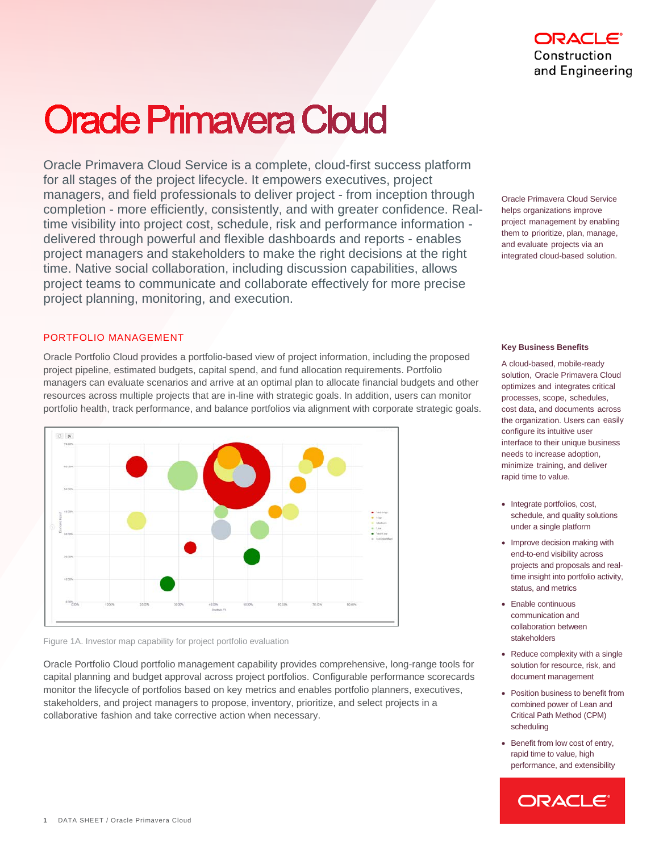# **Oracle Primavera Cloud**

Oracle Primavera Cloud Service is a complete, cloud-first success platform for all stages of the project lifecycle. It empowers executives, project managers, and field professionals to deliver project - from inception through completion - more efficiently, consistently, and with greater confidence. Realtime visibility into project cost, schedule, risk and performance information delivered through powerful and flexible dashboards and reports - enables project managers and stakeholders to make the right decisions at the right time. Native social collaboration, including discussion capabilities, allows project teams to communicate and collaborate effectively for more precise project planning, monitoring, and execution.

# PORTFOLIO MANAGEMENT

Oracle Portfolio Cloud provides a portfolio-based view of project information, including the proposed project pipeline, estimated budgets, capital spend, and fund allocation requirements. Portfolio managers can evaluate scenarios and arrive at an optimal plan to allocate financial budgets and other resources across multiple projects that are in-line with strategic goals. In addition, users can monitor portfolio health, track performance, and balance portfolios via alignment with corporate strategic goals.



Figure 1A. Investor map capability for project portfolio evaluation

Oracle Portfolio Cloud portfolio management capability provides comprehensive, long-range tools for capital planning and budget approval across project portfolios. Configurable performance scorecards monitor the lifecycle of portfolios based on key metrics and enables portfolio planners, executives, stakeholders, and project managers to propose, inventory, prioritize, and select projects in a collaborative fashion and take corrective action when necessary.

Oracle Primavera Cloud Service helps organizations improve project management by enabling them to prioritize, plan, manage, and evaluate projects via an integrated cloud-based solution.

## **Key Business Benefits**

A cloud-based, mobile-ready solution, Oracle Primavera Cloud optimizes and integrates critical processes, scope, schedules, cost data, and documents across the organization. Users can easily configure its intuitive user interface to their unique business needs to increase adoption, minimize training, and deliver rapid time to value.

- Integrate portfolios, cost, schedule, and quality solutions under a single platform
- Improve decision making with end-to-end visibility across projects and proposals and realtime insight into portfolio activity, status, and metrics
- Enable continuous communication and collaboration between stakeholders
- Reduce complexity with a single solution for resource, risk, and document management
- Position business to benefit from combined power of Lean and Critical Path Method (CPM) scheduling
- Benefit from low cost of entry, rapid time to value, high performance, and extensibility

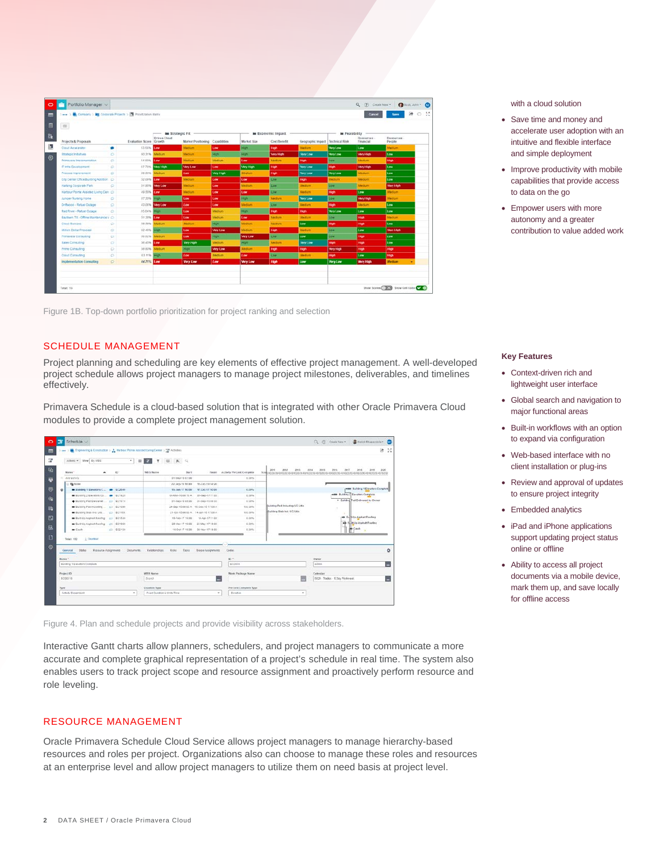| $\Xi$                                   |          |                           |                         |                                 |                   |                  |                            |                             |                                |                         |                      |
|-----------------------------------------|----------|---------------------------|-------------------------|---------------------------------|-------------------|------------------|----------------------------|-----------------------------|--------------------------------|-------------------------|----------------------|
|                                         |          |                           |                         | <b>bu</b> Strategic Fit         |                   |                  | <b>III</b> Economic Impact |                             | <b>m</b> Feasibility<br>$\sim$ |                         |                      |
| Projects & Proposals                    |          | Evaluation Score   Growth | <b>Drives Cloud</b>     | Market Positioning Casabilities |                   | Market Size      | Cost/Benefit               | Geographic Impact           | Tochnical Sixk                 | Resources-<br>Financial | Resources.<br>Pecola |
| Cloud Arcelarator                       | ۰        | <b>63,66% Levy</b>        |                         | Medium                          | Low               | High             | Hoh                        | <b>Medium</b>               | <b>Mary Low</b>                | Low                     | <b>Machine</b>       |
| Stategic Initiatives                    | $\circ$  |                           | 60.31% Medium           | Medium                          | Hot               | High             | <b>Mary High</b>           | Very Low                    | <b>Very Low</b>                | <b>Mary High</b>        | <b>Low</b>           |
| <b>Primarysis Implementation</b>        | $\circ$  | 54.00% Etw                |                         | <b>Medium</b>                   | Madium            | Low              | <b>Medium</b>              | <b>High</b>                 | ter.                           | Medium                  | High                 |
| IT intra Development                    | $\circ$  |                           | 67.70% <b>Very lock</b> | <b>Mary Low</b>                 | Low               | <b>Very High</b> | High                       | Mary Low                    | <b>Jaich</b>                   | <b>Very High</b>        | tow                  |
| Pracess Improvement                     | $\circ$  |                           | 56.53% Medium           | Low.                            | <b>Very Filch</b> | Medium           | <b>High</b>                | <b>Mony Low</b>             | <b>Mony Low</b>                | Medium                  | Low                  |
| City Center Office Building Addition C  |          | 32.09% LEW                |                         | Medium                          | Low               | Low              | <b>DW</b>                  | <b>High</b>                 | <b>Vied lum</b>                | Medium                  | Low                  |
| Hattang Corporate Park                  | o        |                           | 5193% May Los           | Medium                          | Low               | <b>Medium</b>    | Lyw.                       | <b>Administration</b>       | Low.                           | Medium                  | Very Fright          |
| Harbour Pointe Assisted Living Cert (C) |          | 49.55%                    | Law                     | Médium                          | Low               | Low              | <b>EXIM</b>                | <b>Medium</b>               | <b>High</b>                    | Low                     | <b>Medium</b>        |
| Juniper Nursing Hone                    | $\circ$  | 07.33%                    | ton                     | Low                             | Low               | High-            | Medium                     | <b>Mary Low</b>             | Low.                           | <b>Very High</b>        | <b>Blackum</b>       |
| Dritwood - Retual Outsge                | $\sigma$ | 43.06%                    | <b>Very Low</b>         | Low                             | Low               | Medium           | 650                        | <b><i><u>Medium</u></i></b> | <b>High</b>                    | <b>Medium</b>           | tow                  |
| Red River - Refuel Outson               | $\circ$  | 0504%                     | HON                     | Low-                            | Medium            | Hun              | Heat-                      | Hazh.                       | <b>Very Low</b>                | Low                     | <b>Low</b>           |
| Barban, TX - Offine Maintenance V C>    |          | 51.33% <b>East</b>        |                         | tow                             | Medium            | Low              | Medium                     | Medium                      | Low                            | Hoh                     | Madium               |
| <b>Cloud Buccass</b>                    | $\circ$  |                           | 38.38% Midlum           | <b>Medium</b>                   | Hon               | Medium           | <b>Medium</b>              | Low.                        | 1 Flight                       | High                    | <b>Low</b>           |
| Million Collar Prososal                 | $\circ$  | 6249%                     | 565                     | tow                             | <b>Very Low</b>   | Medium           | High                       | Medium                      | Low                            | Lew                     | Very High            |
| Primavera Consulting                    | $\circ$  |                           | 56 62% Medium           | LOW                             | High-             | <b>Many Low</b>  | LOW                        | Low                         | Log                            | Hean                    | LOW                  |
| Sales Consulting                        | ö.       | <b>SEVEN TEND</b>         |                         | <b>Very High</b>                | Medium            | High-            | MacSurs                    | Very Low                    | <b>Joan</b>                    | <b>Hoh</b>              | tos                  |
| Prime Consulting                        | $\circ$  |                           | 58 80% Midlum           | <b>High</b>                     | <b>Very Low</b>   | Africann         | <b>Heger</b>               | <b>High</b>                 | <b><i>Very High</i></b>        | <b>Hoh</b>              | <b>Hook</b>          |
| Claud Censulting                        | $\circ$  | 63 FFR HON                |                         | tow                             | Medium            | Low              | <b>Links</b>               | <b>Madium</b>               | <b>Filiph</b>                  | Low                     | <b>High</b>          |
| <b>Inglementation Consulting</b>        | $\circ$  | 44.71% Lear               |                         | Very Low                        | Low               | <b>Wery Low</b>  | <b>Alight</b>              | Low                         | <b>Very Low</b>                | <b>Very High</b>        | Medium               |

Figure 1B. Top-down portfolio prioritization for project ranking and selection

#### SCHEDULE MANAGEMENT

Project planning and scheduling are key elements of effective project management. A well-developed project schedule allows project managers to manage project milestones, deliverables, and timelines effectively.

Primavera Schedule is a cloud-based solution that is integrated with other Oracle Primavera Cloud modules to provide a complete project management solution.

|                   | ни : - В Епринето & Силатиалот : - А Натош Роли Авиант (млн Селит : - 27 Actuales |            |                          |                            |                                                                                                                                                                   |                                     |                                  |                                  | 計                                                                                                                                                   |  |
|-------------------|-----------------------------------------------------------------------------------|------------|--------------------------|----------------------------|-------------------------------------------------------------------------------------------------------------------------------------------------------------------|-------------------------------------|----------------------------------|----------------------------------|-----------------------------------------------------------------------------------------------------------------------------------------------------|--|
|                   | Adons = View By VBS                                                               |            |                          |                            | $\bullet$ = $\blacksquare$ $\blacksquare$ $\blacksquare$ $\blacksquare$ $\blacksquare$ $\blacksquare$ $\blacksquare$ $\blacksquare$ $\blacksquare$ $\blacksquare$ |                                     |                                  |                                  |                                                                                                                                                     |  |
|                   | Name *                                                                            | D          |                          | WDS Name                   | Start                                                                                                                                                             |                                     | Fisiah Activity Percent Complete | <b>JOSE</b><br>3011<br>2211      | 3104<br>3115<br><b>Jone</b><br>2813<br>2018<br>39.30<br>\$49 2102010 0102010 0102010 0102010 0102010 0102010 0102010 0102010 0102010 0102010 010202 |  |
|                   | $-$ Add actions                                                                   |            |                          |                            | 01-Sep-11-67:00                                                                                                                                                   |                                     | E.DO%                            |                                  |                                                                                                                                                     |  |
|                   | <b>Ka Notes</b>                                                                   |            |                          |                            | 22.5ep 15 56:69                                                                                                                                                   | 15-DEE19 54:20                      |                                  |                                  |                                                                                                                                                     |  |
| $\circ$           | <b>MEDIATORY ENVIRONMENT CO., INC. BECASE</b>                                     |            |                          |                            | 15-Jun 17, 10:00                                                                                                                                                  | 17.0ct 17 10:00                     | 0.005                            |                                  | <b>New Building 1 Elevators Complete</b>                                                                                                            |  |
|                   | mining 2 bly also Co., @ EC1129                                                   |            |                          |                            |                                                                                                                                                                   | 04-Nat-16 08 10 A 01-546-17 1100    | E 00%                            |                                  | How Building 2 Devalors Complete                                                                                                                    |  |
|                   | · Building Pad Delivered (2) EC1518                                               |            |                          |                            |                                                                                                                                                                   | 01-9ao-14 08:00   01-9ao-11 08:00   | 0.00%                            |                                  | . Duiding Pad Delivered by Onner                                                                                                                    |  |
|                   | Unions Pastnoverg  C EC1099                                                       |            |                          |                            |                                                                                                                                                                   | 24-Sep-15 8810 A 16-Dec-15 17:00 A  | 100,00%                          | Duisding Pad Including UC Little |                                                                                                                                                     |  |
|                   | significantly \$146 level Ltd.,  (2) &C1169                                       |            |                          |                            |                                                                                                                                                                   | 21-Dcl 15 08:00 A 14-Jan 16 17:00 A | 100,00%                          | Dulding Stab Incl. U.S.Utla      |                                                                                                                                                     |  |
|                   | ELittle AsphatRealing C EC1538                                                    |            |                          |                            |                                                                                                                                                                   | 15 Feb 17 10:00 13 Apr 17 11:00     | 0.00%                            |                                  | on DubUp Asphaltflooting                                                                                                                            |  |
|                   | Cult Up Arphat Rashy C EC1000                                                     |            |                          |                            |                                                                                                                                                                   | 29 Mar 17 12:00 25 May 17 12:00     | 1,50%                            |                                  | re Cult Vo Asphalt Flooting                                                                                                                         |  |
|                   | $m$ Could                                                                         | $O$ CC2138 |                          |                            |                                                                                                                                                                   | 16:06:17:15:00 05:Nov 17:12:00      | 0.00%                            |                                  | <b>R</b> Cash<br>×                                                                                                                                  |  |
|                   | Tehni 132 L Doumain                                                               |            |                          |                            |                                                                                                                                                                   |                                     |                                  |                                  |                                                                                                                                                     |  |
|                   | Status -<br>Rappunos Adolgrimento Documento<br>Gorieral -                         |            |                          | : Relationships            | Wells:                                                                                                                                                            | Tapic Scop's Assignments            | Codes                            |                                  |                                                                                                                                                     |  |
| Name <sup>1</sup> |                                                                                   |            |                          |                            |                                                                                                                                                                   |                                     | g +                              |                                  | Owner                                                                                                                                               |  |
|                   | Euisne 1 Eaustri Compute                                                          |            |                          |                            |                                                                                                                                                                   |                                     | $6 - 010$                        |                                  | <b>ACITION</b>                                                                                                                                      |  |
|                   | Project IO                                                                        |            |                          | WISS Marine                |                                                                                                                                                                   |                                     | Work Package Naire               |                                  | Calendar                                                                                                                                            |  |
|                   | ECODE18                                                                           |            |                          | Search                     |                                                                                                                                                                   | 圄                                   |                                  |                                  | 5829 - Tradoc - 6 Day Wedweek                                                                                                                       |  |
| Type:             |                                                                                   |            |                          | <b>Cruration Type</b>      |                                                                                                                                                                   |                                     | Percent Complete Sype            |                                  |                                                                                                                                                     |  |
|                   | Adjuly Desercient                                                                 |            | $\overline{\phantom{a}}$ | Ford Duration & Units/Time |                                                                                                                                                                   | $\overline{\phantom{a}}$            | Duration                         |                                  |                                                                                                                                                     |  |

Figure 4. Plan and schedule projects and provide visibility across stakeholders.

Interactive Gantt charts allow planners, schedulers, and project managers to communicate a more accurate and complete graphical representation of a project's schedule in real time. The system also enables users to track project scope and resource assignment and proactively perform resource and role leveling.

# RESOURCE MANAGEMENT

Oracle Primavera Schedule Cloud Service allows project managers to manage hierarchy-based resources and roles per project. Organizations also can choose to manage these roles and resources at an enterprise level and allow project managers to utilize them on need basis at project level.

#### with a cloud solution

- Save time and money and accelerate user adoption with an intuitive and flexible interface and simple deployment
- Improve productivity with mobile capabilities that provide access to data on the go
- Empower users with more autonomy and a greater contribution to value added work

#### **Key Features**

- Context-driven rich and lightweight user interface
- Global search and navigation to major functional areas
- Built-in workflows with an option to expand via configuration
- Web-based interface with no client installation or plug-ins
- Review and approval of updates to ensure project integrity
- Embedded analytics
- iPad and iPhone applications support updating project status online or offline
- Ability to access all project documents via a mobile device, mark them up, and save locally for offline access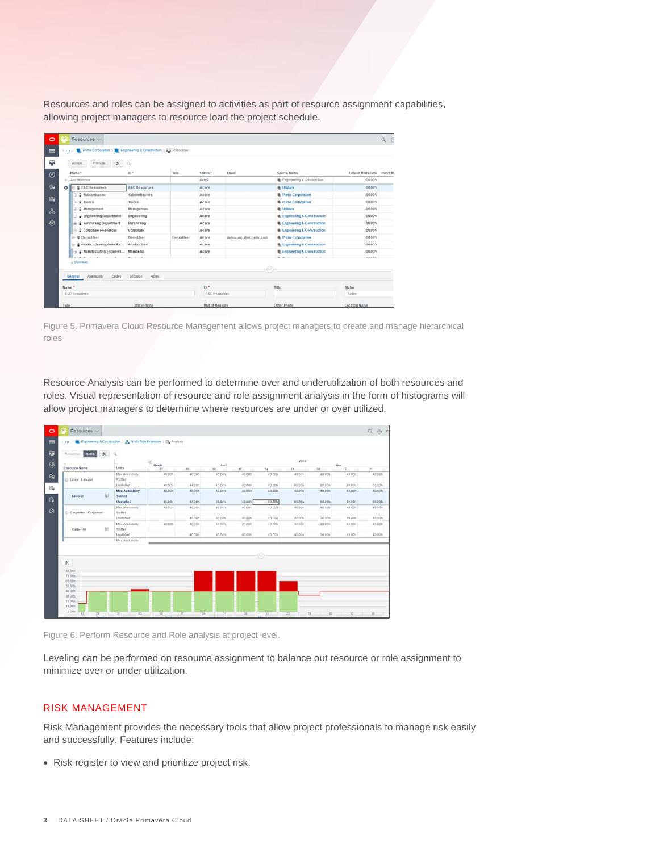Resources and roles can be assigned to activities as part of resource assignment capabilities, allowing project managers to resource load the project schedule.

| <b>LEG</b> | > B Prime Corporation > B Engineering & Construction > ES Resources |                          |           |                   |                       |                                       |                              |
|------------|---------------------------------------------------------------------|--------------------------|-----------|-------------------|-----------------------|---------------------------------------|------------------------------|
| 篽          | Promote.<br>$\boldsymbol{\times}$<br>Assign.                        | Q                        |           |                   |                       |                                       |                              |
| 图          | Name *                                                              | <b>ID</b> *              | Title     | Status "          | Email                 | Source Name                           | Default Units/Time Unit of M |
|            | $+$ $Add$ resource                                                  |                          |           | Active            |                       | Engineering & Construction            | 100.00%                      |
| GR         | O B EAC Resources                                                   | <b>E&amp;C Resources</b> |           | Active            |                       | <b>M</b> . Utilities                  | 100,00%                      |
|            | ⊕ 2 Subcontractor                                                   | Subcontractors           |           | Activa            |                       | <b>B.</b> Prima Corporation           | 100.00%                      |
| <b>B</b>   | @ 2 Trades                                                          | Trades                   |           | Active            |                       | <b>B</b> Prime Corporation            | 100,00%                      |
| $\Delta$   | @ 2 Management                                                      | Management               |           | Active.           |                       | <b>M</b> . Utilities                  | 100,00%                      |
|            | <b>B</b> Engineering Department                                     | Engineering              |           | Active            |                       | <b>U.</b> Engineering & Construction  | 100,00%                      |
| ◎          | @ 2 Purchasing Department                                           | Purchasing               |           | Active            |                       | <b>B</b> Engineering & Construction   | 100,00%                      |
|            | @ 2 Corporate Resources                                             | Corporate                |           | Active            |                       | <b>B</b> . Engineering & Construction | 100,00%                      |
|            | G & Demo User                                                       | Demotiser                | Demo User | Active.           | demo.user@acmeinc.com | <b>E</b> Prime Corporation            | 100,00%                      |
|            | A Product Development Re Product Dev                                |                          |           | Active            |                       | <b>Engineering &amp; Construction</b> | 100.00%                      |
|            | @ 2 Manufacturing EngineerL ManufEng                                |                          |           | Active            |                       | <b>Engineering &amp; Construction</b> | 100.00%                      |
|            |                                                                     |                          |           |                   |                       |                                       | 188.888                      |
|            | L Download                                                          |                          |           |                   |                       |                                       |                              |
|            | Availability<br>Codes<br>General                                    | Location<br>Roles        |           |                   | 049                   |                                       |                              |
|            | Name *                                                              |                          |           | $15$ <sup>*</sup> |                       | Title                                 | <b>Status</b>                |
|            | E&C Resources                                                       |                          |           | E&C Resources     |                       |                                       | Active                       |

Figure 5. Primavera Cloud Resource Management allows project managers to create and manage hierarchical roles

Resource Analysis can be performed to determine over and underutilization of both resources and roles. Visual representation of resource and role assignment analysis in the form of histograms will allow project managers to determine where resources are under or over utilized.



Figure 6. Perform Resource and Role analysis at project level.

Leveling can be performed on resource assignment to balance out resource or role assignment to minimize over or under utilization.

## RISK MANAGEMENT

Risk Management provides the necessary tools that allow project professionals to manage risk easily and successfully. Features include:

• Risk register to view and prioritize project risk.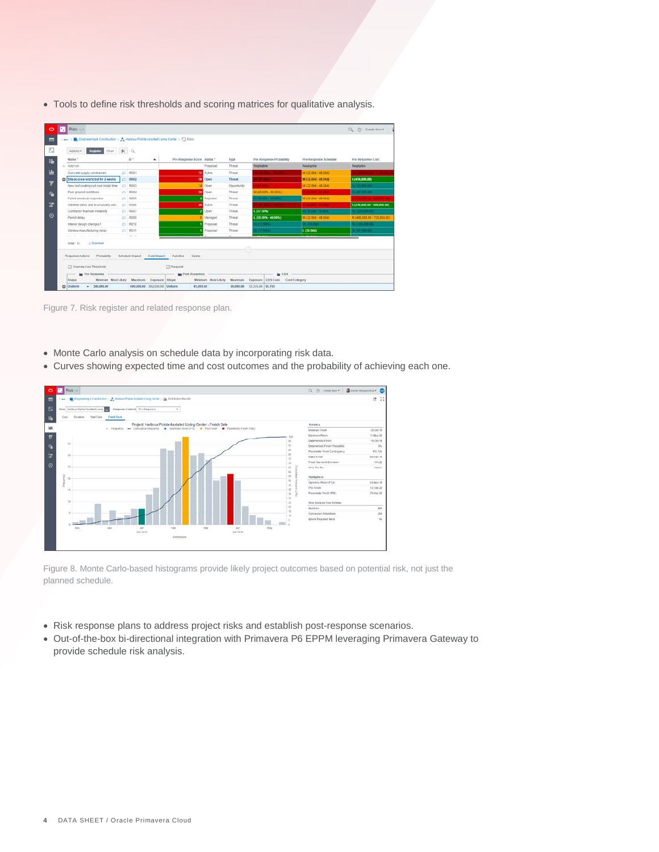• Tools to define risk thresholds and scoring matrices for qualitative analysis.

| Chart K Q<br>Register<br>Actent -<br>Name * | $10 -$<br>۰                    | Pre-Response Score Status * |                   | Туре        | Pre-Response Probability                   | Pre-Response Schedule      | Fre-Response Cost           |
|---------------------------------------------|--------------------------------|-----------------------------|-------------------|-------------|--------------------------------------------|----------------------------|-----------------------------|
| Addirak                                     |                                |                             | Proposed          | Threat      | Negligible                                 | Necipible                  | Neplipible                  |
| Concrete suggly constrained                 | C) RD01                        |                             | <b>TRA Autive</b> | Thread      | <b>Barbara Communication Communication</b> | M (32,00d - 48,00d)        |                             |
| O Sto access restricted for 2 weeks         | C R002                         |                             | 18 Open           | Threat      | <b>THE REAL</b>                            | M (12.00d - 48.00d)        | L (450,000.00)              |
| New roof coating cuts roof install time     | C R003                         |                             | 14 Open           | Opportunity | <b>ROOM STATE</b>                          | M (32 00d - 48 00d)        | L (22.500.00)               |
| Poor ground conditions                      | $C$ R004                       |                             | 20 Open           | Trees:      | M 40 30% + 60 30%)                         | <b>HILL GOT - NA STARS</b> | VL-187-500.001              |
| Eated electrical inspection                 | $\Box$ ROOS                    |                             | Rajadad           | Threat.     | VI. ID 9344 - 20 0241                      | 18 (12.004 - 48.004)       | <b>CONTRACTOR</b>           |
| Yieather delay due to unusually wet         | $\Rightarrow$ Roge             | M                           | Adive             | Threat      |                                            | <b>List for Station</b>    | L (240,000.00 - 400,000.00) |
| Contractor tinangal instability             | C) R007                        |                             | Open              | Threat      | L (37.50%)                                 | 1. 15 (300 - 16 00 d)      | 11. 1225 pop dis-           |
| Permit delay                                | C R009                         |                             | Managed           | Threat      | L (20.00% - 40.00%)                        | M (12 00d - 48 00d)        | M (480,000.00 - 720,000.00) |
| Interior design changes!                    | <b>C RD10</b>                  |                             | Propened          | Threat      | VL+1750%+                                  | VL-115.30d                 | 100.000.021 17              |
| Windaw manufacturing delay                  | $C$ HD11                       |                             | Proposed          | Threat      | <b>ALIST 50NL</b>                          | 1.00.000                   | 100 005 591-32              |
| provided a series of the con-               | $-1.1$                         |                             |                   |             |                                            |                            |                             |
| <b>L</b> Develope<br>Total: 12              |                                |                             |                   | Ø           |                                            |                            |                             |
| Response Actions<br>Prebability             | Schedule Impact<br>Cost Impact | Actument<br>Codes           |                   |             |                                            |                            |                             |

Figure 7. Risk register and related response plan.

- Monte Carlo analysis on schedule data by incorporating risk data.
- Curves showing expected time and cost outcomes and the probability of achieving each one.



Figure 8. Monte Carlo-based histograms provide likely project outcomes based on potential risk, not just the planned schedule.

- Risk response plans to address project risks and establish post-response scenarios.
- Out-of-the-box bi-directional integration with Primavera P6 EPPM leveraging Primavera Gateway to provide schedule risk analysis.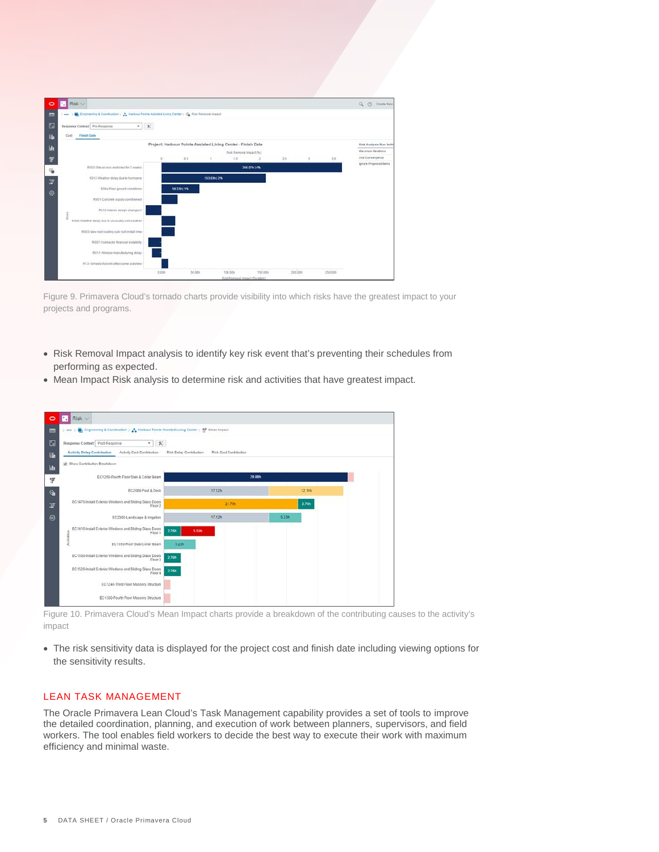| Risk v                                               |        |                       |                                           |                                                                                                                     |                                                                                                         |         | Q. (2) Create New                        |
|------------------------------------------------------|--------|-----------------------|-------------------------------------------|---------------------------------------------------------------------------------------------------------------------|---------------------------------------------------------------------------------------------------------|---------|------------------------------------------|
| 1444                                                 |        |                       |                                           |                                                                                                                     |                                                                                                         |         |                                          |
| Response Context Pre-Response<br>$\scriptstyle\star$ |        |                       |                                           |                                                                                                                     |                                                                                                         |         |                                          |
| <b>Finish Eate</b><br>Cost                           |        |                       |                                           |                                                                                                                     |                                                                                                         |         |                                          |
|                                                      |        |                       |                                           |                                                                                                                     |                                                                                                         |         | <b>Stisk Analysis Run Setti</b>          |
|                                                      |        |                       |                                           |                                                                                                                     |                                                                                                         |         | Maximum terations                        |
|                                                      | $\Box$ | 0.6                   | 1.6                                       | $\overline{z}$                                                                                                      | 2.5                                                                                                     | 3.5     | Use Convergence<br>Ignore Proposed Items |
| R002-Site access restricted for 2 weeks              |        |                       |                                           |                                                                                                                     |                                                                                                         |         |                                          |
| R012-Weather delay due to hurricane                  |        |                       |                                           |                                                                                                                     |                                                                                                         |         |                                          |
| R014 Poor ground conditions                          |        |                       |                                           |                                                                                                                     |                                                                                                         |         |                                          |
| R001-Concrete supply constrained                     |        |                       |                                           |                                                                                                                     |                                                                                                         |         |                                          |
| R010-Interior design changes1                        |        |                       |                                           |                                                                                                                     |                                                                                                         |         |                                          |
| HODS-Weather delay oue to unusually wet weather      |        |                       |                                           |                                                                                                                     |                                                                                                         |         |                                          |
| R003-New roof coaling cuts roof install time         |        |                       |                                           |                                                                                                                     |                                                                                                         |         |                                          |
| R007-Contractor financial instability                |        |                       |                                           |                                                                                                                     |                                                                                                         |         |                                          |
| R011-Wedow manufacturing delay                       |        |                       |                                           |                                                                                                                     |                                                                                                         |         |                                          |
| R13-Tornado that will affect some activities         |        |                       |                                           |                                                                                                                     |                                                                                                         |         |                                          |
|                                                      | 0.00h  | 50.00h                | 100,00h<br>Risk Removal Impact (Duration) | 150,00h                                                                                                             |                                                                                                         | 250,00h |                                          |
|                                                      | Risia  | $\boldsymbol{\times}$ | 5633115%                                  | > by Engineering & Construction > A. Harbour Pointe Assisted Living Center > G. Risk Removal Impact<br>153.83h   2% | Project: Harbour Pointe Assisted Living Center - Finish Date<br>Risk Removal Impact (%)<br>266.07h   4% | 200,00h | $\overline{1}$                           |

Figure 9. Primavera Cloud's tornado charts provide visibility into which risks have the greatest impact to your projects and programs.

- Risk Removal Impact analysis to identify key risk event that's preventing their schedules from performing as expected.
- Mean Impact Risk analysis to determine risk and activities that have greatest impact.



Figure 10. Primavera Cloud's Mean Impact charts provide a breakdown of the contributing causes to the activity's impact

• The risk sensitivity data is displayed for the project cost and finish date including viewing options for the sensitivity results.

## LEAN TASK MANAGEMENT

The Oracle Primavera Lean Cloud's Task Management capability provides a set of tools to improve the detailed coordination, planning, and execution of work between planners, supervisors, and field workers. The tool enables field workers to decide the best way to execute their work with maximum efficiency and minimal waste.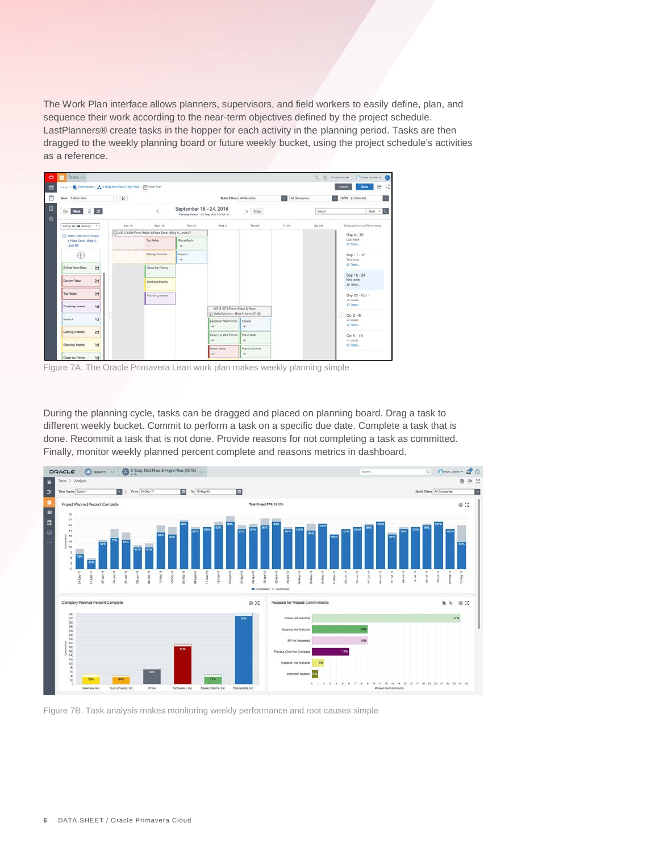The Work Plan interface allows planners, supervisors, and field workers to easily define, plan, and sequence their work according to the near-term objectives defined by the project schedule. LastPlanners® create tasks in the hopper for each activity in the planning period. Tasks are then dragged to the weekly planning board or future weekly bucket, using the project schedule's activities as a reference.



Figure 7A. The Oracle Primavera Lean work plan makes weekly planning simple

During the planning cycle, tasks can be dragged and placed on planning board. Drag a task to different weekly bucket. Commit to perform a task on a specific due date. Complete a task that is done. Recommit a task that is not done. Provide reasons for not completing a task as committed. Finally, monitor weekly planned percent complete and reasons metrics in dashboard.



Figure 7B. Task analysis makes monitoring weekly performance and root causes simple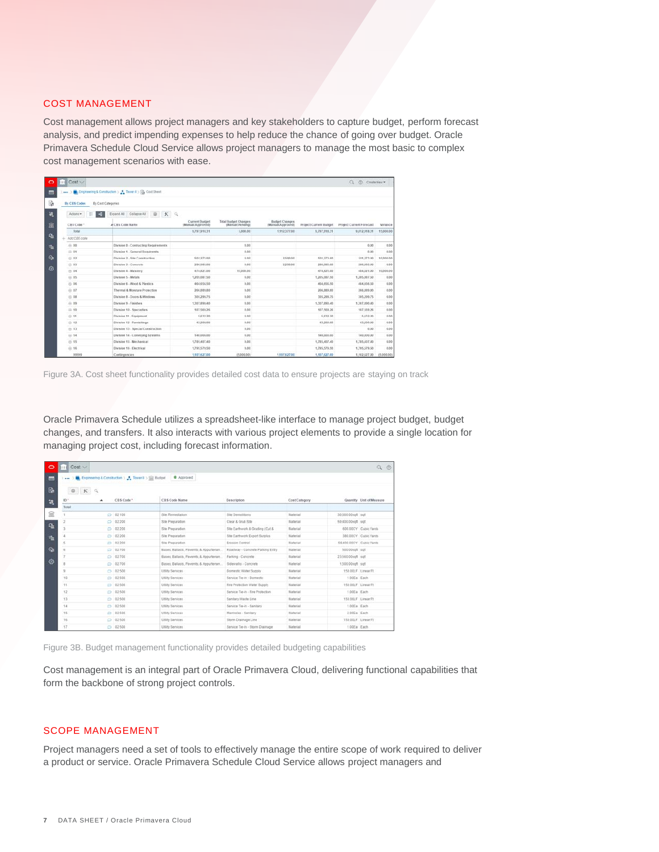# COST MANAGEMENT

Cost management allows project managers and key stakeholders to capture budget, perform forecast analysis, and predict impending expenses to help reduce the chance of going over budget. Oracle Primavera Schedule Cloud Service allows project managers to manage the most basic to complex cost management scenarios with ease.

| $\circ$ | $\mathsf{III}$ Cost $\vee$ |                                                                |                  |                             |                       |                        | Q. (?) Create New *      |            |
|---------|----------------------------|----------------------------------------------------------------|------------------|-----------------------------|-----------------------|------------------------|--------------------------|------------|
| m       |                            | > Encineering & Construction > > > Tevret # > (iii) Cost Shoet |                  |                             |                       |                        |                          |            |
| 廢       | By CBS Codes               | By Cest Categories                                             |                  |                             |                       |                        |                          |            |
| 視       | Acions ·<br>$\equiv$       | Expand All Collapte All @ X Q<br>÷                             | Current Budget   | <b>Total Budget Changes</b> | <b>Budget Changes</b> |                        |                          |            |
| 宜       | CBS Code *                 | 4 CBS Code Name                                                | Masuat Approved) | (Manuar: Pending)           | (Manual:Asproved)     | Project Current Budget | Project Current Forecast | Variance   |
|         | Total                      |                                                                | 9,797,918,31     | 5,000.00                    | 1,112,377.00          | 9,797,918.31           | 9.812,918.31             | 15,000.00  |
| 陆       | Add CBS code               |                                                                |                  |                             |                       |                        |                          |            |
| 场       | 0.001                      | Division 0 - Contracting Requirements                          |                  | 0.00                        |                       |                        | 0.00                     | 0.00       |
|         | <b>前射</b>                  | Division 1 . General Requiremes                                |                  | 0.00                        |                       |                        | 0.00                     | 0.00       |
| $\odot$ | $\oplus$ 02                | Division 2 - Sile Construction                                 | 50527300         | 0.00                        | 2.500.00              | 501,271.00             | 511,273.00               | 10,000.00  |
|         | (2) 03                     | Division 3 - Conceste                                          | 206305.00        | 8.00                        | 7,250.00              | 206,985.00             | 286, 505.00              | 0.00       |
| ◎       | € 04                       | Dirision 4 - Mesonry                                           | 474.821.00       | 13,000.00                   |                       | 474,821.00             | 484,821.00               | 10,000.00  |
|         | $-0.05$                    | Division 5 - Metals                                            | 1,205.087.50     | 0.00                        |                       | 1,205,087,50           | 1,295,087.50             | 9.00       |
|         | iii 06                     | Division 6 - Wood & Plastice                                   | 464,656,50       | 0.00                        |                       | 464,656.50             | 464,656.50               | 0.00       |
|         | ⊕ 07                       | Thermal & Mosture Protection                                   | 265389.00        | 0.00                        |                       | 264,989.80             | 266,819.85               | 0.00       |
|         | iii 08                     | Division 8 - Doors & Windows                                   | 305299.75        | 3.00                        |                       | 305,299.75             | 345,299.75               | 0.00       |
|         | ⊕ 09                       | Division 9 - Finishes                                          | 1,307,890,40     | 0.00                        |                       | 1,107,093,40           | 1,317,030.45             | 0.00       |
|         | $-10$                      | Division 10 - Specialties                                      | 107569.26        | 0.00                        |                       | 107,569.26             | 117,559.26               | 0.00       |
|         | 中11                        | Division 11 - Foxternwell                                      | 5832.20          | 0.00                        |                       | 5.832.20               | 5,632.20                 | 8.00       |
|         | @12                        | Division 12 - Furnishings                                      | 43,200.00        | 5.00                        |                       | 43,203.00              | 43,200.00                | 6.00       |
|         | (11)                       | Dirision 13 - Special Construction                             |                  | 0.00                        |                       |                        | 0.00                     | 0.00       |
|         | 14                         | Division 14 - Conveying Systems                                | 140,000.00       | 9.00                        |                       | 140,000.00             | 140,000.00               | 0.00       |
|         | 前15                        | Division 15 - Mechanical                                       | 1,785,407,40     | 0.00                        |                       | 1,795,407,40           | 1,715,407,40             | 0.00       |
|         | ⊕ 16                       | Danston 15 - Electrical                                        | 1,795.579.50     | 0.00                        |                       | 1,795,579.50           | 1,715,579.50             | 0.00       |
|         | 99999                      | Centroencies                                                   | 1,107,627,00     | (5,000.00)                  | 1,107,627.00          | 1,107,627.00           | 1,112,627.00             | (5,000,00) |

Figure 3A. Cost sheet functionality provides detailed cost data to ensure projects are staying on track

Oracle Primavera Schedule utilizes a spreadsheet-like interface to manage project budget, budget changes, and transfers. It also interacts with various project elements to provide a single location for managing project cost, including forecast information.

| $\circ$       | $\ln$ Cost $\vee$ |   |                                                                         |                                         |                                  |                 |                         | $Q_0$                    |
|---------------|-------------------|---|-------------------------------------------------------------------------|-----------------------------------------|----------------------------------|-----------------|-------------------------|--------------------------|
| <b>STEP</b>   |                   |   | <b>Engineering &amp; Construction &gt; A. Tower II &gt; Tell Budget</b> | <b>C</b> Approved                       |                                  |                 |                         |                          |
| $\mathbb{R}$  |                   |   |                                                                         |                                         |                                  |                 |                         |                          |
| 閾             | $\mathbb{R}^{n}$  | ۰ | CBS Code <sup>+</sup>                                                   | CBS Code Name                           | Description                      | Cost Category   |                         | Quantity Unit of Measure |
|               | Total.            |   |                                                                         |                                         |                                  |                 |                         |                          |
| 寙             |                   |   | C2 02 100                                                               | Site Remediation                        | Site Demolitions                 | Material        | 30,000,00sqft sqft      |                          |
|               |                   |   | 0.02200                                                                 | Site Preparation                        | Clear & Grub Site                | Material        | 59,400,00sqft sqft      |                          |
| 陆             |                   |   | 02200                                                                   | São Preparation                         | Site Earthwork & Grading (Cut &  | Material        |                         | 600.00CY Cubic Yants     |
| $\frac{1}{2}$ |                   |   | 02200                                                                   | Site Preparation                        | Site Earthwork Export Surplus    | Material        |                         | 380.00CV Cubic Yards     |
|               | 5                 |   | CD 02 200                                                               | Site Preparation                        | Erosion Control                  | Material        | 59,400 00CY Cubic Yards |                          |
| $\alpha$      | $\overline{a}$    |   | 02700                                                                   | Bases, Ballasts, Pavemts, & Appurtenan. | Roadway - Concrote Parking Entry | Material        | 500.00sqft sqft         |                          |
|               | r                 |   | $D = 02700$                                                             | Bases, Ballasts, Pavents, & Appurtenan  | Parking - Concrete               | Material        | 23.560.00igft soft      |                          |
| ම             | s                 |   | € 02 700                                                                | Bases, Ballasts, Payents, & Appurtenan  | Sidewalks - Concrete             | Material        | 1,500,00sqft sqft       |                          |
|               | $\overline{u}$    |   | $-0.02500$                                                              | Utility Services                        | Domestic Water Supply            | Material        | 150,00LF Linear Ft      |                          |
|               | 10                |   | $\bigcirc$ 02.500                                                       | <b>Utility Services</b>                 | Service Tie-in - Domestic        | Material        | 1.00Ea Each             |                          |
|               | 11                |   | C2 02 500                                                               | Utility Services                        | Fire Protection Water Supply     | Material        |                         | 150,00LF   Linear Ft     |
|               | 12                |   | $D = 02.500$                                                            | Utility Services                        | Service Tie-in - Fire Protection | Material        | 1.00Ea Each             |                          |
|               | $13-$             |   | $O$ 02 500                                                              | Utility Services                        | Sanitary Waste Line              | Material        |                         | 150.00LF Linear Ft       |
|               | 14                |   | $D = 02,500$                                                            | Utility Services                        | Service Tie-in - Sanitary        | Material        | 1.00Ea : Each           |                          |
|               | 15                |   | $C = 02500$                                                             | Ublify Services                         | Manholes - Sanitary              | <b>Material</b> | 2.00Fa Each             |                          |
|               | 16                |   | O 02500                                                                 | Utility Services                        | Storm Drainage Line              | Material.       | 150 00LF Linear Ft      |                          |
|               | 17                |   | $\bigcirc$ 02 500                                                       | <b>Utility Services</b>                 | Service Tie-In - Storm Drainage  | Material        | 1.00Ea Each             |                          |

Figure 3B. Budget management functionality provides detailed budgeting capabilities

Cost management is an integral part of Oracle Primavera Cloud, delivering functional capabilities that form the backbone of strong project controls.

# SCOPE MANAGEMENT

Project managers need a set of tools to effectively manage the entire scope of work required to deliver a product or service. Oracle Primavera Schedule Cloud Service allows project managers and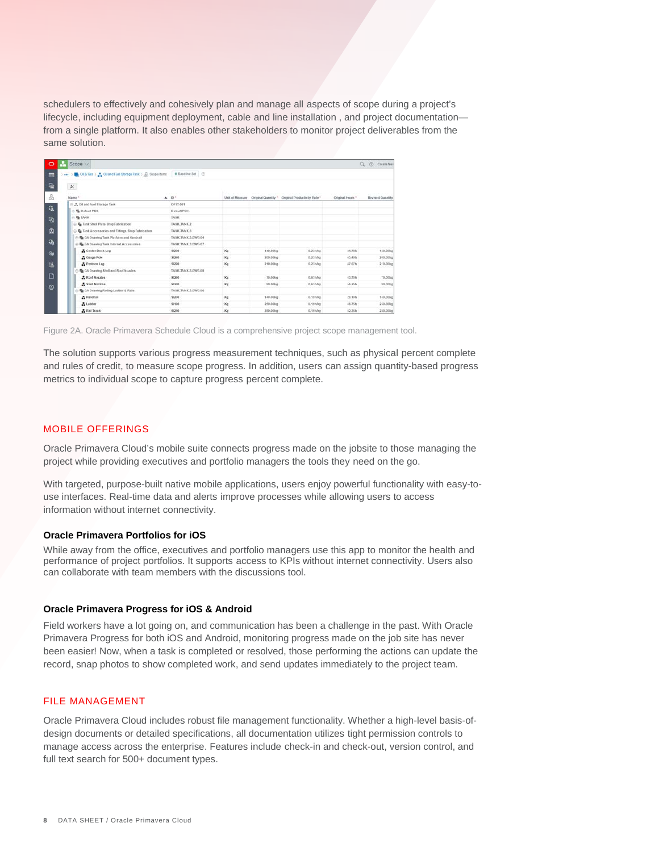schedulers to effectively and cohesively plan and manage all aspects of scope during a project's lifecycle, including equipment deployment, cable and line installation , and project documentation from a single platform. It also enables other stakeholders to monitor project deliverables from the same solution.

| $\circ$        | Scope $\vee$                                                              |                              |                   |          |                                                  |                  | Q. (7) Create for |
|----------------|---------------------------------------------------------------------------|------------------------------|-------------------|----------|--------------------------------------------------|------------------|-------------------|
| <b>COL</b>     | > (b) Of & Gas > (b) OS and Fuel Storage Tank > (E), Scope Rems<br>$-444$ | . Gaseline Set               |                   |          |                                                  |                  |                   |
| 嚍              | $\boldsymbol{\times}$                                                     |                              |                   |          |                                                  |                  |                   |
| Æ              | Name *                                                                    | <b>CONTRACTOR</b><br>$A$ $D$ | Unit of Measure   |          | Criginal Quantity * Criginal Productivity Rate * | Original Hours * | Revised Quantity  |
|                | A Oil and Fuel Storage Tank                                               | OFST-001                     |                   |          |                                                  |                  |                   |
| G.             | ○ % Defaut PBS                                                            | Delault PB E                 |                   |          |                                                  |                  |                   |
| 喝              | <b>FRITANK</b>                                                            | TANK                         |                   |          |                                                  |                  |                   |
|                | The Tank Shell Plate Shop Fabrication                                     | TARK TANK 2                  |                   |          |                                                  |                  |                   |
| 面              | Fig Tank Accessories and Fittings Shop Fabrication                        | TANK.TANK.3                  |                   |          |                                                  |                  |                   |
|                | S To GA Drawing Tank Platform and Handrail                                | TANK TANK 3 DWG-04           |                   |          |                                                  |                  |                   |
| $\mathbf{Q}_0$ | <b>Fo</b> GA Drawing Tank internal Accessories                            | TANK TANK 3 DWG-07           |                   |          |                                                  |                  |                   |
| $\alpha$       | Center Deck Leg                                                           | \$2230                       | Ku                | 140.00kg | 0.23hkg                                          | 31.78h           | 140.00kg          |
|                | <b>3.</b> Gauge Pole                                                      | \$1240                       | Kg                | 200,00kg | 0.23h3g                                          | 45,406           | 200.00kg          |
| 區              | Pontoon Leg                                                               | \$1220                       | $\kappa_0$        | 210.00kg | $0.23h$ kg                                       | 47.67h           | 210.00kg          |
|                | GA Drawing Shell and Roof Nozzles                                         | TANK-TANK 3.DWG-08           |                   |          |                                                  |                  |                   |
| D              | <b>A</b> Roof Nozzies                                                     | \$1250                       | Kg                | 70.00kg  | 0.63h kg                                         | 43.75h           | 70.00kg           |
| Ô,             | Stell Nozzies                                                             | \$1250                       | $\kappa_{\rm ff}$ | 90.00kg  | 0.63hkg                                          | 56.25h           | 90.00kg           |
|                | GA Drawing Rolling Ladder & Rads                                          | TANK TANK 3 DWG-06           |                   |          |                                                  |                  |                   |
|                | A Handrail                                                                | \$1200                       | Kg                | 140.00kg | 0.19h kg                                         | 26.18h           | 140,00kg          |
|                | Ladder                                                                    | \$2110                       | $_{\rm XII}$      | 250.00kg | 0.19h/kg                                         | 46.75h           | 250.00kg          |
|                | <b>A</b> Rail Track                                                       | \$1210                       | $0$               | 200.00kg | $0.19h$ kip                                      | 52.36h           | 280,00kg          |

Figure 2A. Oracle Primavera Schedule Cloud is a comprehensive project scope management tool.

The solution supports various progress measurement techniques, such as physical percent complete and rules of credit, to measure scope progress. In addition, users can assign quantity-based progress metrics to individual scope to capture progress percent complete.

# MOBILE OFFERINGS

Oracle Primavera Cloud's mobile suite connects progress made on the jobsite to those managing the project while providing executives and portfolio managers the tools they need on the go.

With targeted, purpose-built native mobile applications, users enjoy powerful functionality with easy-touse interfaces. Real-time data and alerts improve processes while allowing users to access information without internet connectivity.

## **Oracle Primavera Portfolios for iOS**

While away from the office, executives and portfolio managers use this app to monitor the health and performance of project portfolios. It supports access to KPIs without internet connectivity. Users also can collaborate with team members with the discussions tool.

# **Oracle Primavera Progress for iOS & Android**

Field workers have a lot going on, and communication has been a challenge in the past. With Oracle Primavera Progress for both iOS and Android, monitoring progress made on the job site has never been easier! Now, when a task is completed or resolved, those performing the actions can update the record, snap photos to show completed work, and send updates immediately to the project team.

## FILE MANAGEMENT

Oracle Primavera Cloud includes robust file management functionality. Whether a high-level basis-ofdesign documents or detailed specifications, all documentation utilizes tight permission controls to manage access across the enterprise. Features include check-in and check-out, version control, and full text search for 500+ document types.